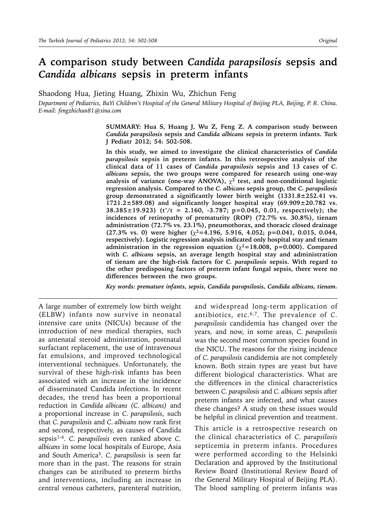# **A comparison study between** *Candida parapsilosis* **sepsis and**  *Candida albicans* **sepsis in preterm infants**

Shaodong Hua, Jieting Huang, Zhixin Wu, Zhichun Feng

*Department of Pediatrics, BaYi Children's Hospital of the General Military Hospital of Beijing PLA, Beijing, P. R. China. E-mail: fengzhichun81@sina.com*

> **SUMMARY: Hua S, Huang J, Wu Z, Feng Z. A comparison study between**  *Candida parapsilosis* **sepsis and** *Candida albicans* **sepsis in preterm infants. Turk J Pediatr 2012; 54: 502-508.**

> **In this study, we aimed to investigate the clinical characteristics of** *Candida parapsilosis* **sepsis in preterm infants. In this retrospective analysis of the clinical data of 11 cases of** *Candida parapsilosis* **sepsis and 13 cases of** *C. albicans* **sepsis, the two groups were compared for research using one-way**  analysis of variance (one-way ANOVA),  $\chi^2$  test, and non-conditional logistic **regression analysis. Compared to the** *C. albicans* **sepsis group, the** *C. parapsilosis*  **group demonstrated a significantly lower birth weight (1331.8±252.41 vs. 1721.2±589.08) and significantly longer hospital stay (69.909±20.782 vs. 38.385±19.923) (t'/t = 2.160, -3.787; p=0.045, 0.01, respectively); the incidences of retinopathy of prematurity (ROP) (72.7% vs. 30.8%), tienam administration (72.7% vs. 23.1%), pneumothorax, and thoracic closed drainage (27.3% vs. 0) were higher (2=4.196, 5.916, 4.052; p=0.041, 0.015, 0.044, respectively). Logistic regression analysis indicated only hospital stay and tienam**  administration in the regression equation  $(\chi^2=18.008, p=0.000)$ . Compared **with** *C. albicans* **sepsis, an average length hospital stay and administration of tienam are the high-risk factors for** *C. parapsilosis* **sepsis. With regard to the other predisposing factors of preterm infant fungal sepsis, there were no differences between the two groups.**

> *Key words: premature infants, sepsis, Candida parapsilosis, Candida albicans, tienam.*

A large number of extremely low birth weight (ELBW) infants now survive in neonatal intensive care units (NICUs) because of the introduction of new medical therapies, such as antenatal steroid administration, postnatal surfactant replacement, the use of intravenous fat emulsions, and improved technological interventional techniques. Unfortunately, the survival of these high-risk infants has been associated with an increase in the incidence of disseminated Candida infections. In recent decades, the trend has been a proportional reduction in *Candida albicans (C. albicans)* and a proportional increase in *C. parapsilosis*, such that *C. parapsilosis* and *C. albicans* now rank first and second, respectively, as causes of Candida sepsis1-4. *C. parapsilosis* even ranked above *C. albicans* in some local hospitals of Europe, Asia and South America5. *C. parapsilosis* is seen far more than in the past. The reasons for strain changes can be attributed to preterm births and interventions, including an increase in central venous catheters, parenteral nutrition,

and widespread long-term application of antibiotics, etc.6,7. The prevalence of *C. parapsilosis* candidemia has changed over the years, and now, in some areas, *C. parapsilosis* was the second most common species found in the NICU. The reasons for the rising incidence of *C. parapsilosis* candidemia are not completely known. Both strain types are yeast but have different biological characteristics. What are the differences in the clinical characteristics between *C. parapsilosis* and *C. albicans* sepsis after preterm infants are infected, and what causes these changes? A study on these issues would be helpful in clinical prevention and treatment.

This article is a retrospective research on the clinical characteristics of *C. parapsilosis*  septicemia in preterm infants. Procedures were performed according to the Helsinki Declaration and approved by the Institutional Review Board (Institutional Review Board of the General Military Hospital of Beijing PLA). The blood sampling of preterm infants was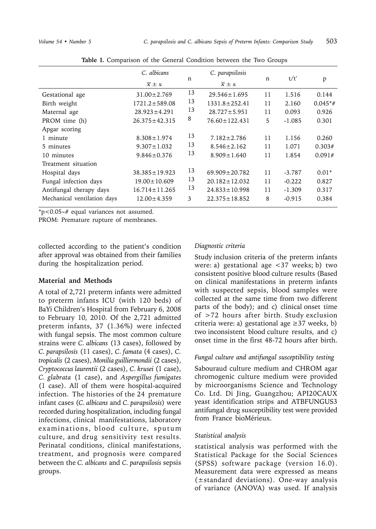|                                                                                                                         | C. albicans<br>$\overline{x} \pm s$                                                   | n                   | C. parapsilosis<br>$\overline{x} \pm s$                                                  | n                   | t/t'                                         | p                                     |
|-------------------------------------------------------------------------------------------------------------------------|---------------------------------------------------------------------------------------|---------------------|------------------------------------------------------------------------------------------|---------------------|----------------------------------------------|---------------------------------------|
| Gestational age<br>Birth weight<br>Maternal age<br>PROM time (h)<br>Apgar scoring                                       | $31.00 \pm 2.769$<br>$1721.2 \pm 589.08$<br>$28.923 \pm 4.291$<br>$26.375 \pm 42.315$ | 13<br>13<br>13<br>8 | $29.546 \pm 1.695$<br>$1331.8 \pm 252.41$<br>$28.727 \pm 5.951$<br>$76.60 \pm 122.431$   | 11<br>11<br>11<br>5 | 1.516<br>2.160<br>0.093<br>$-1.085$          | 0.144<br>$0.045*$ #<br>0.926<br>0.301 |
| 1 minute<br>5 minutes<br>10 minutes                                                                                     | $8.308 \pm 1.974$<br>$9.307 \pm 1.032$<br>$9.846 \pm 0.376$                           | 13<br>13<br>13      | $7.182 \pm 2.786$<br>$8.546 \pm 2.162$<br>$8.909 \pm 1.640$                              | 11<br>11<br>11      | 1.156<br>1.071<br>1.854                      | 0.260<br>0.303#<br>0.091#             |
| Treatment situation<br>Hospital days<br>Fungal infection days<br>Antifungal therapy days<br>Mechanical ventilation days | $38.385 \pm 19.923$<br>$19.00 \pm 10.609$<br>$16.714 \pm 11.265$<br>$12.00 \pm 4.359$ | 13<br>13<br>13<br>3 | $69.909 \pm 20.782$<br>$20.182 \pm 12.032$<br>$24.833 \pm 10.998$<br>$22.375 \pm 18.852$ | 11<br>11<br>11<br>8 | $-3.787$<br>$-0.222$<br>$-1.309$<br>$-0.915$ | $0.01*$<br>0.827<br>0.317<br>0.384    |

**Table I.** Comparison of the General Condition between the Two Groups

 $*p<0.05$ <sup>+#</sup> equal variances not assumed.

PROM: Premature rupture of membranes.

collected according to the patient's condition after approval was obtained from their families during the hospitalization period.

#### **Material and Methods**

A total of 2,721 preterm infants were admitted to preterm infants ICU (with 120 beds) of BaYi Children's Hospital from February 6, 2008 to February 10, 2010. Of the 2,721 admitted preterm infants, 37 (1.36%) were infected with fungal sepsis. The most common culture strains were *C. albicans* (13 cases), followed by *C. parapsilosis* (11 cases), *C. famata* (4 cases), *C. tropicalis* (2 cases), *Monilia guilliermondii* (2 cases), *Cryptococcus laurentii* (2 cases), *C. krusei* (1 case), *C. glabrata* (1 case), and *Aspergillus fumigates* (1 case). All of them were hospital-acquired infection. The histories of the 24 premature infant cases (*C. albicans* and *C. parapsilosis*) were recorded during hospitalization, including fungal infections, clinical manifestations, laboratory examinations, blood culture, sputum culture, and drug sensitivity test results. Perinatal conditions, clinical manifestations, treatment, and prognosis were compared between the *C. albicans* and *C. parapsilosis* sepsis groups.

### *Diagnostic criteria*

Study inclusion criteria of the preterm infants were: a) gestational age <37 weeks; b) two consistent positive blood culture results (Based on clinical manifestations in preterm infants with suspected sepsis, blood samples were collected at the same time from two different parts of the body); and c) clinical onset time of >72 hours after birth. Study exclusion criteria were: a) gestational age  $\geq$ 37 weeks, b) two inconsistent blood culture results, and c) onset time in the first 48-72 hours after birth.

#### *Fungal culture and antifungal susceptibility testing*

Sabouraud culture medium and CHROM agar chromogenic culture medium were provided by microorganisms Science and Technology Co. Ltd. Di Jing, Guangzhou; API20CAUX yeast identification strips and ATBFUNGUS3 antifungal drug susceptibility test were provided from France bioMérieux.

#### *Statistical analysis*

statistical analysis was performed with the Statistical Package for the Social Sciences (SPSS) software package (version 16.0). Measurement data were expressed as means (±standard deviations). One-way analysis of variance (ANOVA) was used. If analysis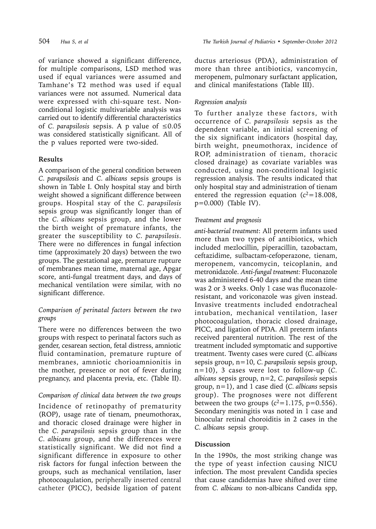of variance showed a significant difference, for multiple comparisons, LSD method was used if equal variances were assumed and Tamhane's T2 method was used if equal variances were not assumed. Numerical data were expressed with chi-square test. Nonconditional logistic multivariable analysis was carried out to identify differential characteristics of *C. parapsilosis* sepsis. A p value of ≤0.05 was considered statistically significant. All of the p values reported were two-sided.

## **Results**

A comparison of the general condition between *C. parapsilosis* and *C. albicans* sepsis groups is shown in Table I. Only hospital stay and birth weight showed a significant difference between groups. Hospital stay of the *C. parapsilosis*  sepsis group was significantly longer than of the *C. albicans* sepsis group, and the lower the birth weight of premature infants, the greater the susceptibility to *C. parapsilosis*. There were no differences in fungal infection time (approximately 20 days) between the two groups. The gestational age, premature rupture of membranes mean time, maternal age, Apgar score, anti-fungal treatment days, and days of mechanical ventilation were similar, with no significant difference.

## *Comparison of perinatal factors between the two groups*

There were no differences between the two groups with respect to perinatal factors such as gender, cesarean section, fetal distress, amniotic fluid contamination, premature rupture of membranes, amniotic chorioamnionitis in the mother, presence or not of fever during pregnancy, and placenta previa, etc. (Table II).

## *Comparison of clinical data between the two groups*

Incidence of retinopathy of prematurity (ROP), usage rate of tienam, pneumothorax, and thoracic closed drainage were higher in the *C. parapsilosis* sepsis group than in the *C. albicans* group, and the differences were statistically significant. We did not find a significant difference in exposure to other risk factors for fungal infection between the groups, such as mechanical ventilation, laser photocoagulation, peripherally inserted central catheter (PICC), bedside ligation of patent

ductus arteriosus (PDA), administration of more than three antibiotics, vancomycin, meropenem, pulmonary surfactant application, and clinical manifestations (Table III).

# *Regression analysis*

To further analyze these factors, with occurrence of *C. parapsilosis* sepsis as the dependent variable, an initial screening of the six significant indicators (hospital day, birth weight, pneumothorax, incidence of ROP, administration of tienam, thoracic closed drainage) as covariate variables was conducted, using non-conditional logistic regression analysis. The results indicated that only hospital stay and administration of tienam entered the regression equation  $(c^2=18.008,$ p=0.000) (Table IV).

## *Treatment and prognosis*

*anti-bacterial treatment*: All preterm infants used more than two types of antibiotics, which included mezlocillin, piperacillin, tazobactam, ceftazidime, sulbactam-cefoperazone, tienam, meropenem, vancomycin, teicoplanin, and metronidazole. *Anti-fungal treatment:* Fluconazole was administered 6-40 days and the mean time was 2 or 3 weeks. Only 1 case was fluconazoleresistant, and voriconazole was given instead. Invasive treatments included endotracheal intubation, mechanical ventilation, laser photocoagulation, thoracic closed drainage, PICC, and ligation of PDA. All preterm infants received parenteral nutrition. The rest of the treatment included symptomatic and supportive treatment. Twenty cases were cured (*C. albicans*  sepsis group, n=10, *C. parapsilosis* sepsis group, n=10), 3 cases were lost to follow-up (*C. albicans* sepsis group, n=2, *C. parapsilosis* sepsis group, n=1), and 1 case died (*C. albicans* sepsis group). The prognoses were not different between the two groups  $(c^2=1.175, p=0.556)$ . Secondary meningitis was noted in 1 case and binocular retinal choroiditis in 2 cases in the *C. albicans* sepsis group.

## **Discussion**

In the 1990s, the most striking change was the type of yeast infection causing NICU infection. The most prevalent Candida species that cause candidemias have shifted over time from *C. albicans* to non-albicans Candida spp,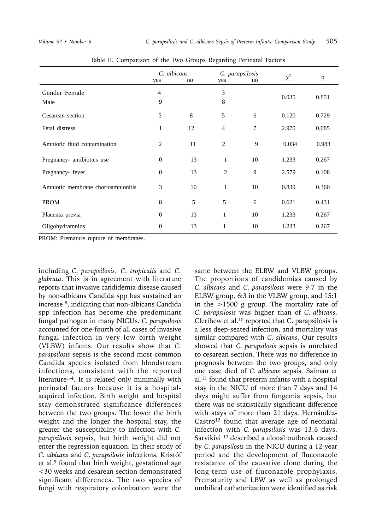|                                    | C. albicans<br>yes | no | yes            | C. parapsilosis<br>no | $\chi^2$ | p     |
|------------------------------------|--------------------|----|----------------|-----------------------|----------|-------|
| Gender Female                      | $\overline{4}$     |    | 3              |                       | 0.035    | 0.851 |
| Male                               | 9                  |    | 8              |                       |          |       |
| Cesarean section                   | 5                  | 8  | 5              | 6                     | 0.120    | 0.729 |
| Fetal distress                     | 1                  | 12 | $\overline{4}$ | $\tau$                | 2.970    | 0.085 |
| Amniotic fluid contamination       | 2                  | 11 | 2              | 9                     | 0.034    | 0.983 |
| Pregnancy- antibiotics use         | $\boldsymbol{0}$   | 13 | $\mathbf{1}$   | 10                    | 1.233    | 0.267 |
| Pregnancy-fever                    | $\boldsymbol{0}$   | 13 | $\overline{c}$ | 9                     | 2.579    | 0.108 |
| Amniotic membrane chorioamnionitis | 3                  | 10 | $\mathbf{1}$   | 10                    | 0.839    | 0.360 |
| <b>PROM</b>                        | 8                  | 5  | 5              | 6                     | 0.621    | 0.431 |
| Placenta previa                    | $\overline{0}$     | 13 | 1              | 10                    | 1.233    | 0.267 |
| Oligohydramnios                    | $\mathbf{0}$       | 13 | 1              | 10                    | 1.233    | 0.267 |

Table II. Comparison of the Two Groups Regarding Perinatal Factors

PROM: Premature rupture of membranes.

including *C. parapsilosis*, *C. tropicalis* and *C. glabrata*. This is in agreement with literature reports that invasive candidemia disease caused by non-albicans Candida spp has sustained an increase 8, indicating that non-albicans Candida spp infection has become the predominant fungal pathogen in many NICUs. *C. parapsilosis* accounted for one-fourth of all cases of invasive fungal infection in very low birth weight (VLBW) infants. Our results show that *C. parapsilosis* sepsis is the second most common Candida species isolated from bloodstream infections, consistent with the reported literature1-4. It is related only minimally with perinatal factors because it is a hospitalacquired infection. Birth weight and hospital stay demonstrated significance differences between the two groups. The lower the birth weight and the longer the hospital stay, the greater the susceptibility to infection with *C. parapsilosis* sepsis, but birth weight did not enter the regression equation. In their study of *C. albicans* and *C. parapsilosis* infections, Kristóf et al.9 found that birth weight, gestational age <30 weeks and cesarean section demonstrated significant differences. The two species of fungi with respiratory colonization were the

same between the ELBW and VLBW groups. The proportions of candidemias caused by *C. albicans* and *C. parapsilosis* were 9:7 in the ELBW group, 6:3 in the VLBW group, and 15:1 in the >1500 g group. The mortality rate of *C. parapsilosis* was higher than of *C. albicans*. Clerihew et al.10 reported that C. parapsilosis is a less deep-seated infection, and mortality was similar compared with *C. albicans*. Our results showed that *C. parapsilosis* sepsis is unrelated to cesarean section. There was no difference in prognosis between the two groups, and only one case died of *C. albicans* sepsis. Saiman et al.11 found that preterm infants with a hospital stay in the NICU of more than 7 days and 14 days might suffer from fungemia sepsis, but there was no statistically significant difference with stays of more than 21 days. Hernández-Castro<sup>12</sup> found that average age of neonatal infection with *C. parapsilosis* was 13.6 days. Sarvikivi 13 described a clonal outbreak caused by *C. parapsilosis* in the NICU during a 12-year period and the development of fluconazole resistance of the causative clone during the long-term use of fluconazole prophylaxis. Prematurity and LBW as well as prolonged umbilical catheterization were identified as risk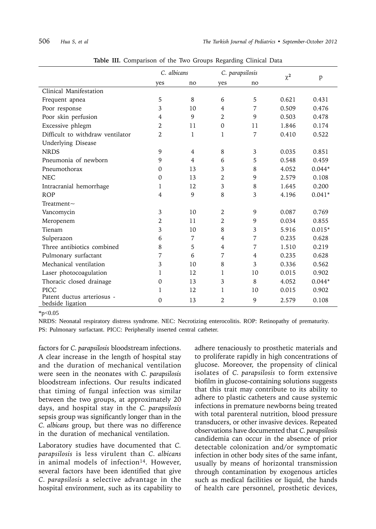|                                                | C. albicans |                | C. parapsilosis |                | $\chi^2$ |              |
|------------------------------------------------|-------------|----------------|-----------------|----------------|----------|--------------|
|                                                | yes         | no             | yes             | no             |          | $\mathbf{p}$ |
| Clinical Manifestation                         |             |                |                 |                |          |              |
| Frequent apnea                                 | 5           | 8              | 6               | 5              | 0.621    | 0.431        |
| Poor response                                  | 3           | 10             | 4               | 7              | 0.509    | 0.476        |
| Poor skin perfusion                            | 4           | 9              | $\overline{2}$  | 9              | 0.503    | 0.478        |
| Excessive phlegm                               | 2           | 11             | $\mathbf 0$     | 11             | 1.846    | 0.174        |
| Difficult to withdraw ventilator               | 2           | 1              | 1               | 7              | 0.410    | 0.522        |
| <b>Underlying Disease</b>                      |             |                |                 |                |          |              |
| <b>NRDS</b>                                    | 9           | $\overline{4}$ | 8               | 3              | 0.035    | 0.851        |
| Pneumonia of newborn                           | 9           | 4              | 6               | 5              | 0.548    | 0.459        |
| Pneumothorax                                   | 0           | 13             | 3               | 8              | 4.052    | $0.044*$     |
| <b>NEC</b>                                     | $\mathbf 0$ | 13             | $\overline{2}$  | 9              | 2.579    | 0.108        |
| Intracranial hemorrhage                        | 1           | 12             | 3               | 8              | 1.645    | 0.200        |
| <b>ROP</b>                                     | 4           | 9              | 8               | 3              | 4.196    | $0.041*$     |
| Treatment $\sim$                               |             |                |                 |                |          |              |
| Vancomycin                                     | 3           | 10             | 2               | 9              | 0.087    | 0.769        |
| Meropenem                                      | 2           | 11             | $\overline{2}$  | 9              | 0.034    | 0.855        |
| Tienam                                         | 3           | 10             | 8               | 3              | 5.916    | $0.015*$     |
| Sulperazon                                     | 6           | $\overline{7}$ | $\overline{4}$  | 7              | 0.235    | 0.628        |
| Three antibiotics combined                     | 8           | 5              | 4               | 7              | 1.510    | 0.219        |
| Pulmonary surfactant                           | 7           | 6              | 7               | $\overline{4}$ | 0.235    | 0.628        |
| Mechanical ventilation                         | 3           | 10             | 8               | 3              | 0.336    | 0.562        |
| Laser photocoagulation                         | 1           | 12             | 1               | 10             | 0.015    | 0.902        |
| Thoracic closed drainage                       | 0           | 13             | 3               | 8              | 4.052    | $0.044*$     |
| PICC                                           | 1           | 12             | 1               | 10             | 0.015    | 0.902        |
| Patent ductus arteriosus -<br>bedside ligation | 0           | 13             | $\overline{2}$  | 9              | 2.579    | 0.108        |

**Table III.** Comparison of the Two Groups Regarding Clinical Data

 $*p<0.05$ 

NRDS: Neonatal respiratory distress syndrome. NEC: Necrotizing enterocolitis. ROP: Retinopathy of prematurity. PS: Pulmonary surfactant. PICC: Peripherally inserted central catheter.

factors for *C. parapsilosis* bloodstream infections. A clear increase in the length of hospital stay and the duration of mechanical ventilation were seen in the neonates with *C. parapsilosis* bloodstream infections. Our results indicated that timing of fungal infection was similar between the two groups, at approximately 20 days, and hospital stay in the *C. parapsilosis*  sepsis group was significantly longer than in the *C. albicans* group, but there was no difference in the duration of mechanical ventilation.

Laboratory studies have documented that *C. parapsilosis* is less virulent than *C. albicans*  in animal models of infection<sup>14</sup>. However, several factors have been identified that give *C. parapsilosis* a selective advantage in the hospital environment, such as its capability to

adhere tenaciously to prosthetic materials and to proliferate rapidly in high concentrations of glucose. Moreover, the propensity of clinical isolates of *C. parapsilosis* to form extensive biofilm in glucose-containing solutions suggests that this trait may contribute to its ability to adhere to plastic catheters and cause systemic infections in premature newborns being treated with total parenteral nutrition, blood pressure transducers, or other invasive devices. Repeated observations have documented that *C. parapsilosis* candidemia can occur in the absence of prior detectable colonization and/or symptomatic infection in other body sites of the same infant, usually by means of horizontal transmission through contamination by exogenous articles such as medical facilities or liquid, the hands of health care personnel, prosthetic devices,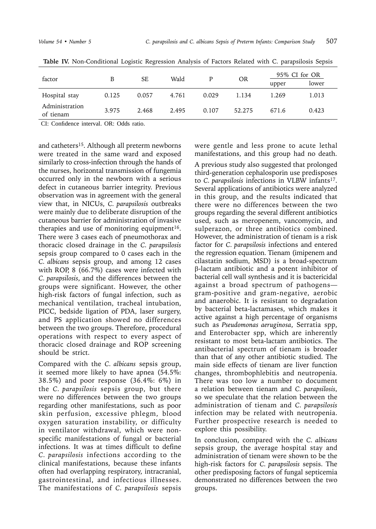| factor                      | B     | <b>SE</b> | Wald  | D     | <b>OR</b> |       | 95% CI for OR |  |
|-----------------------------|-------|-----------|-------|-------|-----------|-------|---------------|--|
|                             |       |           |       |       |           | upper | lower         |  |
| Hospital stay               | 0.125 | 0.057     | 4.761 | 0.029 | 1.134     | 1.269 | 1.013         |  |
| Administration<br>of tienam | 3.975 | 2.468     | 2.495 | 0.107 | 52.275    | 671.6 | 0.423         |  |

**Table IV.** Non-Conditional Logistic Regression Analysis of Factors Related with C. parapsilosis Sepsis

CI: Confidence interval. OR: Odds ratio.

and catheters<sup>15</sup>. Although all preterm newborns were treated in the same ward and exposed similarly to cross-infection through the hands of the nurses, horizontal transmission of fungemia occurred only in the newborn with a serious defect in cutaneous barrier integrity. Previous observation was in agreement with the general view that, in NICUs, *C. parapsilosis* outbreaks were mainly due to deliberate disruption of the cutaneous barrier for administration of invasive therapies and use of monitoring equipment<sup>16</sup>. There were 3 cases each of pneumothorax and thoracic closed drainage in the *C. parapsilosis* sepsis group compared to 0 cases each in the *C. albicans* sepsis group, and among 12 cases with ROP, 8 (66.7%) cases were infected with *C. parapsilosis*, and the differences between the groups were significant. However, the other high-risk factors of fungal infection, such as mechanical ventilation, tracheal intubation, PICC, bedside ligation of PDA, laser surgery, and PS application showed no differences between the two groups. Therefore, procedural operations with respect to every aspect of thoracic closed drainage and ROP screening should be strict.

Compared with the *C. albicans* sepsis group, it seemed more likely to have apnea (54.5%: 38.5%) and poor response (36.4%: 6%) in the *C. parapsilosis* sepsis group, but there were no differences between the two groups regarding other manifestations, such as poor skin perfusion, excessive phlegm, blood oxygen saturation instability, or difficulty in ventilator withdrawal, which were nonspecific manifestations of fungal or bacterial infections. It was at times difficult to define *C. parapsilosis* infections according to the clinical manifestations, because these infants often had overlapping respiratory, intracranial, gastrointestinal, and infectious illnesses. The manifestations of *C. parapsilosis* sepsis

were gentle and less prone to acute lethal manifestations, and this group had no death.

A previous study also suggested that prolonged third-generation cephalosporin use predisposes to *C. parapsilosis* infections in VLBW infants17. Several applications of antibiotics were analyzed in this group, and the results indicated that there were no differences between the two groups regarding the several different antibiotics used, such as meropenem, vancomycin, and sulperazon, or three antibiotics combined. However, the administration of tienam is a risk factor for *C. parapsilosis* infections and entered the regression equation. Tienam (imipenem and cilastatin sodium, MSD) is a broad-spectrum -lactam antibiotic and a potent inhibitor of bacterial cell wall synthesis and it is bactericidal against a broad spectrum of pathogens gram-positive and gram-negative, aerobic and anaerobic. It is resistant to degradation by bacterial beta-lactamases, which makes it active against a high percentage of organisms such as *Pseudomonas aeruginosa*, Serratia spp, and Enterobacter spp, which are inherently resistant to most beta-lactam antibiotics. The antibacterial spectrum of tienam is broader than that of any other antibiotic studied. The main side effects of tienam are liver function changes, thrombophlebitis and neutropenia. There was too low a number to document a relation between tienam and *C. parapsilosis*, so we speculate that the relation between the administration of tienam and *C. parapsilosis*  infection may be related with neutropenia. Further prospective research is needed to explore this possibility.

In conclusion, compared with the *C. albicans*  sepsis group, the average hospital stay and administration of tienam were shown to be the high-risk factors for *C. parapsilosis* sepsis. The other predisposing factors of fungal septicemia demonstrated no differences between the two groups.